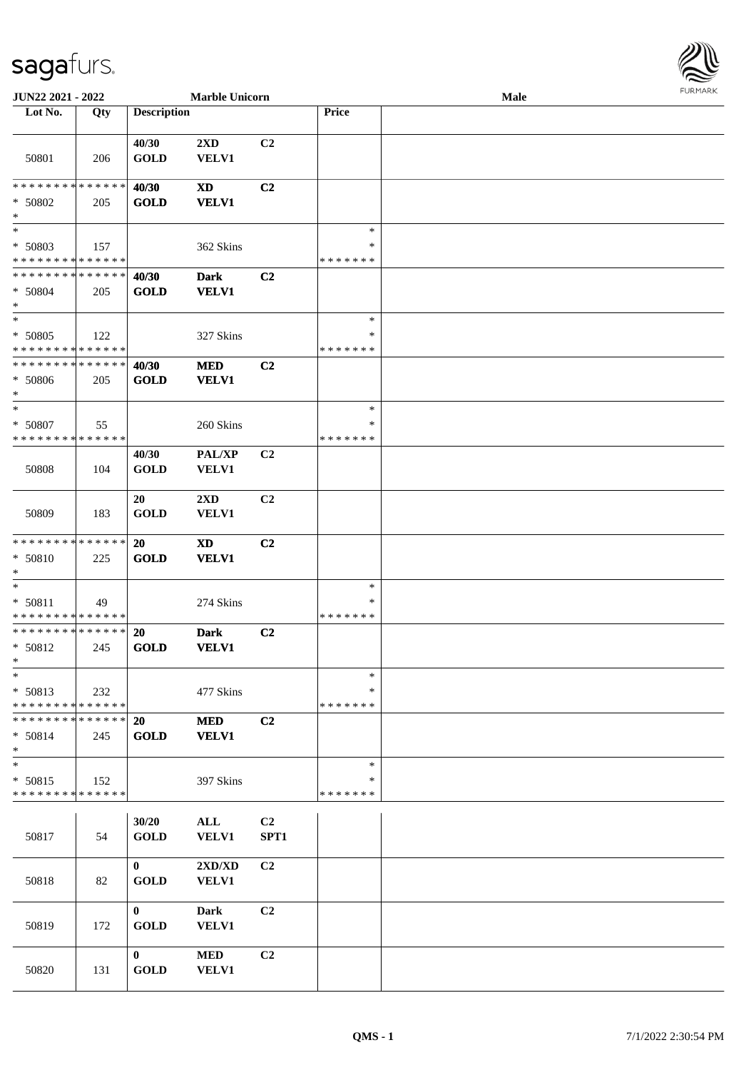## sagafurs.

| <b>JUN22 2021 - 2022</b>                                             |     |                             | <b>Marble Unicorn</b>            |                |                                   | Male |  |
|----------------------------------------------------------------------|-----|-----------------------------|----------------------------------|----------------|-----------------------------------|------|--|
| Lot No.                                                              | Qty | <b>Description</b>          |                                  |                | Price                             |      |  |
| 50801                                                                | 206 | 40/30<br><b>GOLD</b>        | $2\mathbf{X}\mathbf{D}$<br>VELV1 | C <sub>2</sub> |                                   |      |  |
| * * * * * * * * * * * * * *<br>* 50802<br>$\ast$                     | 205 | 40/30<br><b>GOLD</b>        | XD<br><b>VELV1</b>               | C2             |                                   |      |  |
| $\overline{\phantom{0}}$<br>$* 50803$<br>* * * * * * * * * * * * * * | 157 |                             | 362 Skins                        |                | $\ast$<br>$\ast$<br>* * * * * * * |      |  |
| * * * * * * * * * * * * * *<br>* 50804<br>$*$                        | 205 | 40/30<br><b>GOLD</b>        | <b>Dark</b><br><b>VELV1</b>      | C <sub>2</sub> |                                   |      |  |
| $*$<br>* 50805<br>* * * * * * * * * * * * * *                        | 122 |                             | 327 Skins                        |                | $\ast$<br>*<br>* * * * * * *      |      |  |
| * * * * * * * * * * * * * *<br>$* 50806$<br>$*$                      | 205 | 40/30<br><b>GOLD</b>        | <b>MED</b><br><b>VELV1</b>       | C2             |                                   |      |  |
| $\ast$<br>* 50807<br>* * * * * * * * * * * * * *                     | 55  |                             | 260 Skins                        |                | $\ast$<br>*<br>* * * * * * *      |      |  |
| 50808                                                                | 104 | 40/30<br><b>GOLD</b>        | <b>PAL/XP</b><br><b>VELV1</b>    | C <sub>2</sub> |                                   |      |  |
| 50809                                                                | 183 | 20<br><b>GOLD</b>           | $2\mathbf{X}\mathbf{D}$<br>VELV1 | C2             |                                   |      |  |
| * * * * * * * * * * * * * *<br>* 50810<br>$*$                        | 225 | <b>20</b><br><b>GOLD</b>    | <b>XD</b><br><b>VELV1</b>        | C <sub>2</sub> |                                   |      |  |
| $*$<br>* 50811<br>* * * * * * * * <mark>* * * * * * *</mark>         | 49  |                             | 274 Skins                        |                | $\ast$<br>*<br>* * * * * * *      |      |  |
| * * * * * * * * * * * * * * *<br>* 50812<br>$*$                      | 245 | 20<br><b>GOLD</b>           | <b>Dark</b><br><b>VELV1</b>      | C <sub>2</sub> |                                   |      |  |
| $\ast$<br>* 50813<br>* * * * * * * * * * * * * *                     | 232 |                             | 477 Skins                        |                | $\ast$<br>*<br>* * * * * * *      |      |  |
| * * * * * * * * <mark>* * * * * * *</mark><br>$* 50814$<br>$*$       | 245 | 20<br><b>GOLD</b>           | <b>MED</b><br><b>VELV1</b>       | C2             |                                   |      |  |
| $*$<br>* 50815<br>* * * * * * * * * * * * * *                        | 152 |                             | 397 Skins                        |                | $\ast$<br>∗<br>* * * * * * *      |      |  |
| 50817                                                                | 54  | 30/20<br><b>GOLD</b>        | ALL<br><b>VELV1</b>              | C2<br>SPT1     |                                   |      |  |
| 50818                                                                | 82  | $\mathbf{0}$<br><b>GOLD</b> | 2XD/XD<br><b>VELV1</b>           | C <sub>2</sub> |                                   |      |  |
| 50819                                                                | 172 | $\mathbf{0}$<br><b>GOLD</b> | Dark<br><b>VELV1</b>             | C2             |                                   |      |  |
| 50820                                                                | 131 | $\bf{0}$<br><b>GOLD</b>     | <b>MED</b><br>VELV1              | C <sub>2</sub> |                                   |      |  |

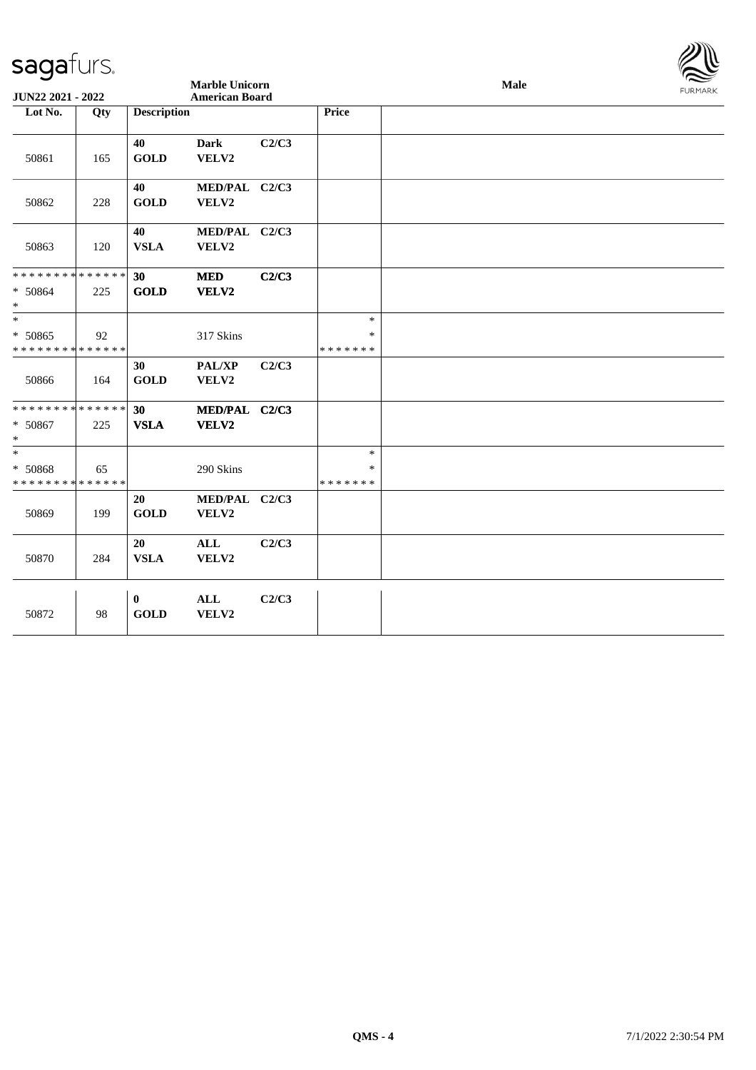| <b>Marble Unicorn</b><br>Male<br>JUN22 2021 - 2022<br><b>American Board</b><br>Lot No.<br><b>Description</b><br><b>Price</b><br>Qty<br><b>Dark</b><br>C2/C3<br>40<br><b>GOLD</b><br>VELV2<br>50861<br>165<br>40<br>MED/PAL C2/C3<br><b>GOLD</b><br>VELV2<br>50862<br>228<br>40<br>MED/PAL C2/C3<br><b>VSLA</b><br>50863<br>120<br>VELV2<br>C2/C3<br>30<br><b>MED</b><br><b>GOLD</b><br>VELV2<br>225 | $\sum$<br><b>FURMARK</b> |
|-----------------------------------------------------------------------------------------------------------------------------------------------------------------------------------------------------------------------------------------------------------------------------------------------------------------------------------------------------------------------------------------------------|--------------------------|
| * * * * * * * * * * * * * *<br>* 50864                                                                                                                                                                                                                                                                                                                                                              |                          |
|                                                                                                                                                                                                                                                                                                                                                                                                     |                          |
|                                                                                                                                                                                                                                                                                                                                                                                                     |                          |
|                                                                                                                                                                                                                                                                                                                                                                                                     |                          |
|                                                                                                                                                                                                                                                                                                                                                                                                     |                          |
| $\ast$                                                                                                                                                                                                                                                                                                                                                                                              |                          |
| $\ast$<br>$\ast$<br>* 50865<br>317 Skins<br>92<br>$\ast$<br>* * * * * * * * * * * * * *<br>* * * * * * *                                                                                                                                                                                                                                                                                            |                          |
| PAL/XP<br>C2/C3<br>30<br><b>GOLD</b><br>VELV2<br>50866<br>164                                                                                                                                                                                                                                                                                                                                       |                          |
| * * * * * * * * * * * * * *<br>MED/PAL C2/C3<br>30<br><b>VSLA</b><br>VELV2<br>* 50867<br>225<br>$\ast$                                                                                                                                                                                                                                                                                              |                          |
| $\ast$<br>$\ast$<br>* 50868<br>290 Skins<br>$\ast$<br>65<br>* * * * * * * * * * * * * *<br>* * * * * * *                                                                                                                                                                                                                                                                                            |                          |
| MED/PAL C2/C3<br>20<br><b>GOLD</b><br>50869<br>199<br><b>VELV2</b>                                                                                                                                                                                                                                                                                                                                  |                          |
| C2/C3<br>20<br>$\mathbf{ALL}$<br><b>VSLA</b><br>50870<br>284<br>VELV2                                                                                                                                                                                                                                                                                                                               |                          |
| <b>ALL</b><br>C2/C3<br>$\bf{0}$<br>50872<br><b>GOLD</b><br>VELV2<br>98                                                                                                                                                                                                                                                                                                                              |                          |